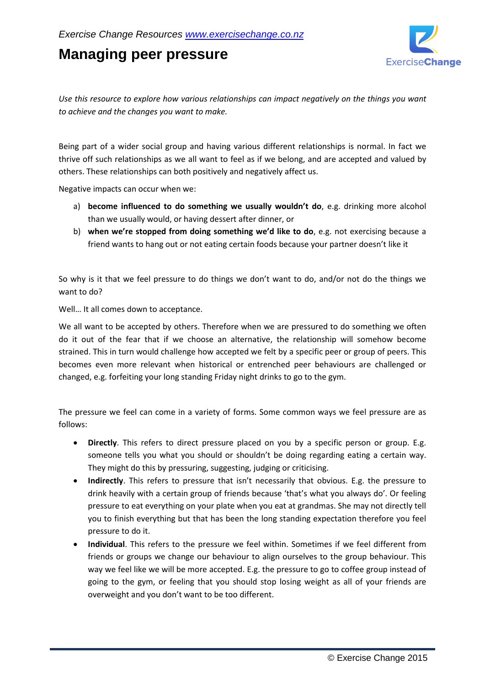## **Managing peer pressure**



*Use this resource to explore how various relationships can impact negatively on the things you want to achieve and the changes you want to make.*

Being part of a wider social group and having various different relationships is normal. In fact we thrive off such relationships as we all want to feel as if we belong, and are accepted and valued by others. These relationships can both positively and negatively affect us.

Negative impacts can occur when we:

- a) **become influenced to do something we usually wouldn't do**, e.g. drinking more alcohol than we usually would, or having dessert after dinner, or
- b) **when we're stopped from doing something we'd like to do**, e.g. not exercising because a friend wants to hang out or not eating certain foods because your partner doesn't like it

So why is it that we feel pressure to do things we don't want to do, and/or not do the things we want to do?

Well… It all comes down to acceptance.

We all want to be accepted by others. Therefore when we are pressured to do something we often do it out of the fear that if we choose an alternative, the relationship will somehow become strained. This in turn would challenge how accepted we felt by a specific peer or group of peers. This becomes even more relevant when historical or entrenched peer behaviours are challenged or changed, e.g. forfeiting your long standing Friday night drinks to go to the gym.

The pressure we feel can come in a variety of forms. Some common ways we feel pressure are as follows:

- **Directly**. This refers to direct pressure placed on you by a specific person or group. E.g. someone tells you what you should or shouldn't be doing regarding eating a certain way. They might do this by pressuring, suggesting, judging or criticising.
- **Indirectly**. This refers to pressure that isn't necessarily that obvious. E.g. the pressure to drink heavily with a certain group of friends because 'that's what you always do'. Or feeling pressure to eat everything on your plate when you eat at grandmas. She may not directly tell you to finish everything but that has been the long standing expectation therefore you feel pressure to do it.
- **Individual**. This refers to the pressure we feel within. Sometimes if we feel different from friends or groups we change our behaviour to align ourselves to the group behaviour. This way we feel like we will be more accepted. E.g. the pressure to go to coffee group instead of going to the gym, or feeling that you should stop losing weight as all of your friends are overweight and you don't want to be too different.